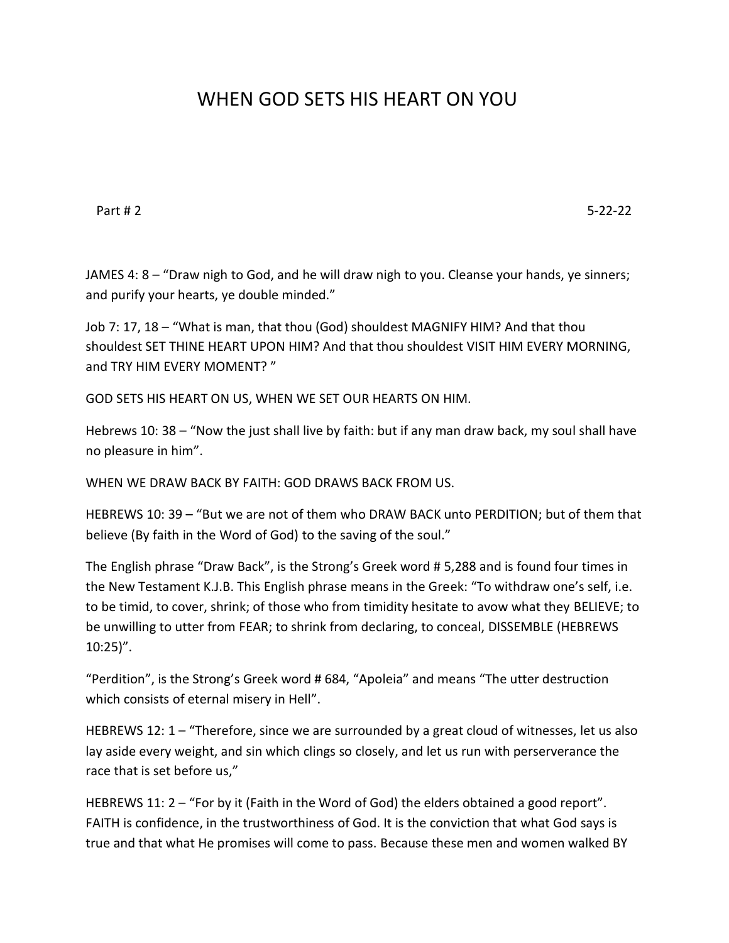## WHEN GOD SETS HIS HEART ON YOU

Part # 2 5-22-22

JAMES 4: 8 – "Draw nigh to God, and he will draw nigh to you. Cleanse your hands, ye sinners; and purify your hearts, ye double minded."

Job 7: 17, 18 – "What is man, that thou (God) shouldest MAGNIFY HIM? And that thou shouldest SET THINE HEART UPON HIM? And that thou shouldest VISIT HIM EVERY MORNING, and TRY HIM EVERY MOMENT? "

GOD SETS HIS HEART ON US, WHEN WE SET OUR HEARTS ON HIM.

Hebrews 10: 38 – "Now the just shall live by faith: but if any man draw back, my soul shall have no pleasure in him".

WHEN WE DRAW BACK BY FAITH: GOD DRAWS BACK FROM US.

HEBREWS 10: 39 – "But we are not of them who DRAW BACK unto PERDITION; but of them that believe (By faith in the Word of God) to the saving of the soul."

The English phrase "Draw Back", is the Strong's Greek word # 5,288 and is found four times in the New Testament K.J.B. This English phrase means in the Greek: "To withdraw one's self, i.e. to be timid, to cover, shrink; of those who from timidity hesitate to avow what they BELIEVE; to be unwilling to utter from FEAR; to shrink from declaring, to conceal, DISSEMBLE (HEBREWS 10:25)".

"Perdition", is the Strong's Greek word # 684, "Apoleia" and means "The utter destruction which consists of eternal misery in Hell".

HEBREWS 12: 1 – "Therefore, since we are surrounded by a great cloud of witnesses, let us also lay aside every weight, and sin which clings so closely, and let us run with perserverance the race that is set before us,"

HEBREWS 11: 2 – "For by it (Faith in the Word of God) the elders obtained a good report". FAITH is confidence, in the trustworthiness of God. It is the conviction that what God says is true and that what He promises will come to pass. Because these men and women walked BY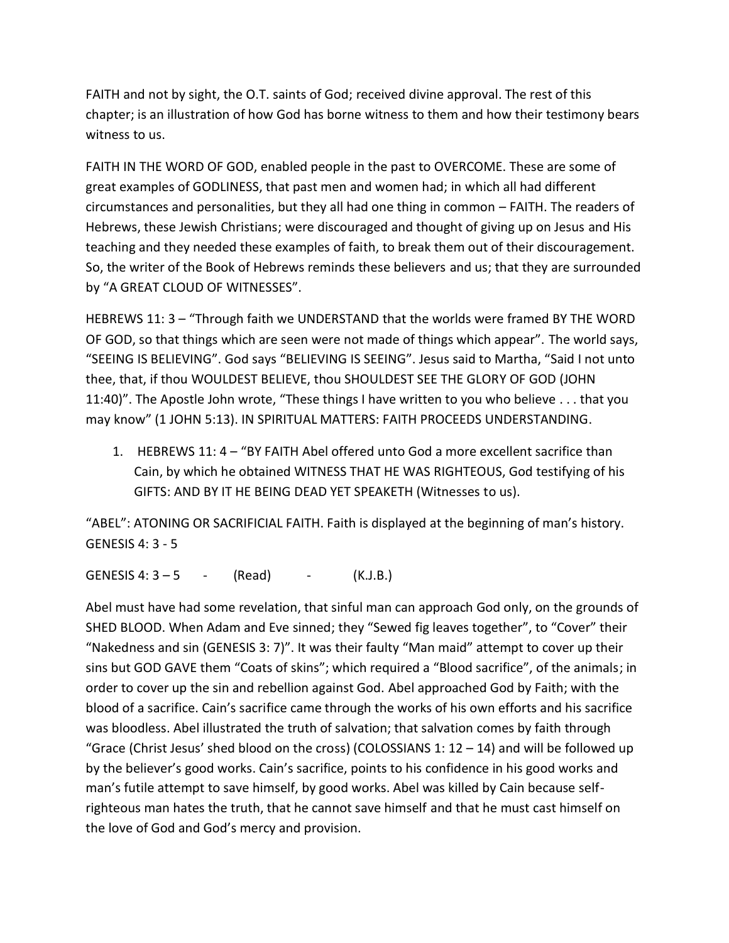FAITH and not by sight, the O.T. saints of God; received divine approval. The rest of this chapter; is an illustration of how God has borne witness to them and how their testimony bears witness to us.

FAITH IN THE WORD OF GOD, enabled people in the past to OVERCOME. These are some of great examples of GODLINESS, that past men and women had; in which all had different circumstances and personalities, but they all had one thing in common – FAITH. The readers of Hebrews, these Jewish Christians; were discouraged and thought of giving up on Jesus and His teaching and they needed these examples of faith, to break them out of their discouragement. So, the writer of the Book of Hebrews reminds these believers and us; that they are surrounded by "A GREAT CLOUD OF WITNESSES".

HEBREWS 11: 3 – "Through faith we UNDERSTAND that the worlds were framed BY THE WORD OF GOD, so that things which are seen were not made of things which appear". The world says, "SEEING IS BELIEVING". God says "BELIEVING IS SEEING". Jesus said to Martha, "Said I not unto thee, that, if thou WOULDEST BELIEVE, thou SHOULDEST SEE THE GLORY OF GOD (JOHN 11:40)". The Apostle John wrote, "These things I have written to you who believe . . . that you may know" (1 JOHN 5:13). IN SPIRITUAL MATTERS: FAITH PROCEEDS UNDERSTANDING.

1. HEBREWS 11: 4 – "BY FAITH Abel offered unto God a more excellent sacrifice than Cain, by which he obtained WITNESS THAT HE WAS RIGHTEOUS, God testifying of his GIFTS: AND BY IT HE BEING DEAD YET SPEAKETH (Witnesses to us).

"ABEL": ATONING OR SACRIFICIAL FAITH. Faith is displayed at the beginning of man's history. GENESIS 4: 3 - 5

GENESIS 4:  $3 - 5 - (Read) - (K.J.B.)$ 

Abel must have had some revelation, that sinful man can approach God only, on the grounds of SHED BLOOD. When Adam and Eve sinned; they "Sewed fig leaves together", to "Cover" their "Nakedness and sin (GENESIS 3: 7)". It was their faulty "Man maid" attempt to cover up their sins but GOD GAVE them "Coats of skins"; which required a "Blood sacrifice", of the animals; in order to cover up the sin and rebellion against God. Abel approached God by Faith; with the blood of a sacrifice. Cain's sacrifice came through the works of his own efforts and his sacrifice was bloodless. Abel illustrated the truth of salvation; that salvation comes by faith through "Grace (Christ Jesus' shed blood on the cross) (COLOSSIANS 1:  $12 - 14$ ) and will be followed up by the believer's good works. Cain's sacrifice, points to his confidence in his good works and man's futile attempt to save himself, by good works. Abel was killed by Cain because selfrighteous man hates the truth, that he cannot save himself and that he must cast himself on the love of God and God's mercy and provision.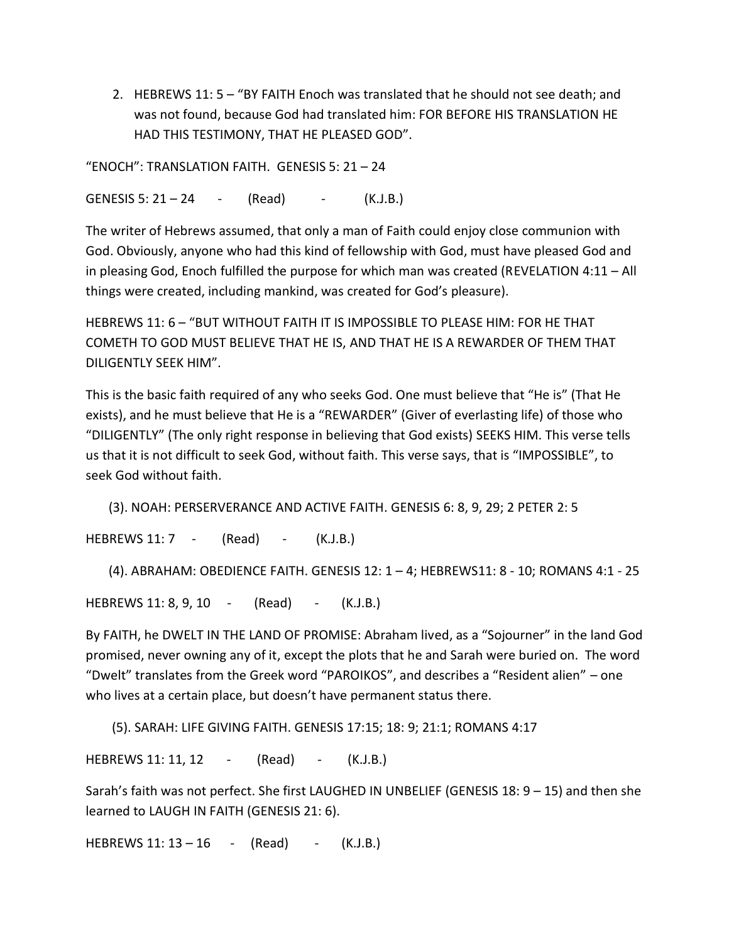2. HEBREWS 11: 5 – "BY FAITH Enoch was translated that he should not see death; and was not found, because God had translated him: FOR BEFORE HIS TRANSLATION HE HAD THIS TESTIMONY, THAT HE PLEASED GOD".

"ENOCH": TRANSLATION FAITH. GENESIS 5: 21 – 24

GENESIS 5: 21 – 24 - (Read) - (K.J.B.)

The writer of Hebrews assumed, that only a man of Faith could enjoy close communion with God. Obviously, anyone who had this kind of fellowship with God, must have pleased God and in pleasing God, Enoch fulfilled the purpose for which man was created (REVELATION 4:11 – All things were created, including mankind, was created for God's pleasure).

HEBREWS 11: 6 – "BUT WITHOUT FAITH IT IS IMPOSSIBLE TO PLEASE HIM: FOR HE THAT COMETH TO GOD MUST BELIEVE THAT HE IS, AND THAT HE IS A REWARDER OF THEM THAT DILIGENTLY SEEK HIM".

This is the basic faith required of any who seeks God. One must believe that "He is" (That He exists), and he must believe that He is a "REWARDER" (Giver of everlasting life) of those who "DILIGENTLY" (The only right response in believing that God exists) SEEKS HIM. This verse tells us that it is not difficult to seek God, without faith. This verse says, that is "IMPOSSIBLE", to seek God without faith.

(3). NOAH: PERSERVERANCE AND ACTIVE FAITH. GENESIS 6: 8, 9, 29; 2 PETER 2: 5

HEBREWS 11: 7 - (Read) - (K.J.B.)

(4). ABRAHAM: OBEDIENCE FAITH. GENESIS 12: 1 – 4; HEBREWS11: 8 - 10; ROMANS 4:1 - 25

HEBREWS 11: 8, 9, 10 - (Read) - (K.J.B.)

By FAITH, he DWELT IN THE LAND OF PROMISE: Abraham lived, as a "Sojourner" in the land God promised, never owning any of it, except the plots that he and Sarah were buried on. The word "Dwelt" translates from the Greek word "PAROIKOS", and describes a "Resident alien" – one who lives at a certain place, but doesn't have permanent status there.

(5). SARAH: LIFE GIVING FAITH. GENESIS 17:15; 18: 9; 21:1; ROMANS 4:17

HEBREWS 11: 11, 12 - (Read) - (K.J.B.)

Sarah's faith was not perfect. She first LAUGHED IN UNBELIEF (GENESIS 18: 9 – 15) and then she learned to LAUGH IN FAITH (GENESIS 21: 6).

HEBREWS  $11: 13 - 16$  - (Read) - (K.J.B.)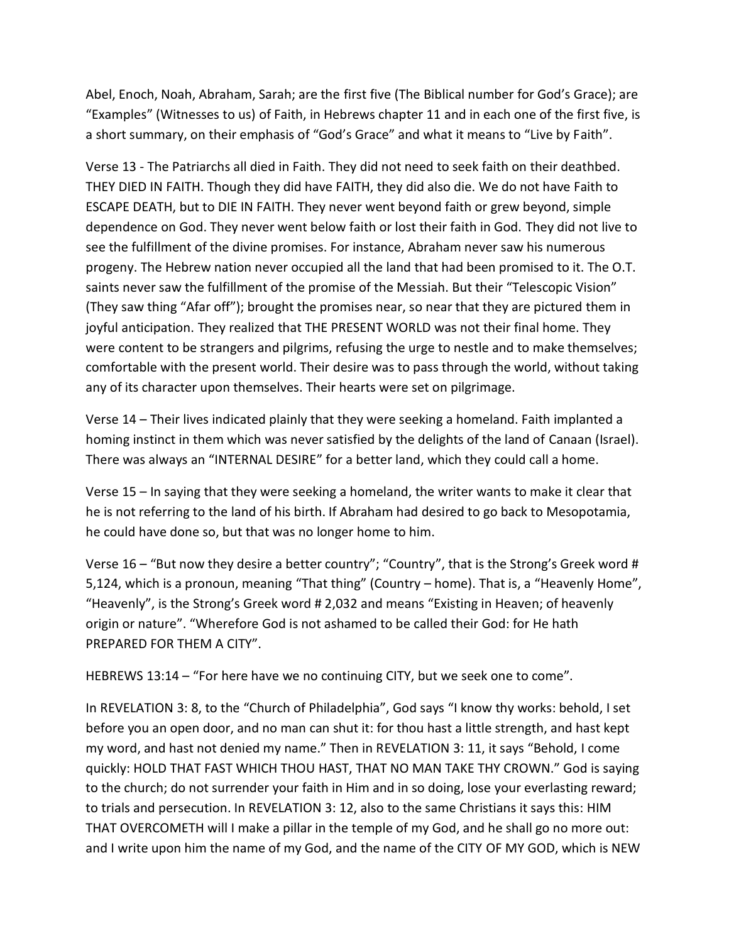Abel, Enoch, Noah, Abraham, Sarah; are the first five (The Biblical number for God's Grace); are "Examples" (Witnesses to us) of Faith, in Hebrews chapter 11 and in each one of the first five, is a short summary, on their emphasis of "God's Grace" and what it means to "Live by Faith".

Verse 13 - The Patriarchs all died in Faith. They did not need to seek faith on their deathbed. THEY DIED IN FAITH. Though they did have FAITH, they did also die. We do not have Faith to ESCAPE DEATH, but to DIE IN FAITH. They never went beyond faith or grew beyond, simple dependence on God. They never went below faith or lost their faith in God. They did not live to see the fulfillment of the divine promises. For instance, Abraham never saw his numerous progeny. The Hebrew nation never occupied all the land that had been promised to it. The O.T. saints never saw the fulfillment of the promise of the Messiah. But their "Telescopic Vision" (They saw thing "Afar off"); brought the promises near, so near that they are pictured them in joyful anticipation. They realized that THE PRESENT WORLD was not their final home. They were content to be strangers and pilgrims, refusing the urge to nestle and to make themselves; comfortable with the present world. Their desire was to pass through the world, without taking any of its character upon themselves. Their hearts were set on pilgrimage.

Verse 14 – Their lives indicated plainly that they were seeking a homeland. Faith implanted a homing instinct in them which was never satisfied by the delights of the land of Canaan (Israel). There was always an "INTERNAL DESIRE" for a better land, which they could call a home.

Verse 15 – In saying that they were seeking a homeland, the writer wants to make it clear that he is not referring to the land of his birth. If Abraham had desired to go back to Mesopotamia, he could have done so, but that was no longer home to him.

Verse 16 – "But now they desire a better country"; "Country", that is the Strong's Greek word # 5,124, which is a pronoun, meaning "That thing" (Country – home). That is, a "Heavenly Home", "Heavenly", is the Strong's Greek word # 2,032 and means "Existing in Heaven; of heavenly origin or nature". "Wherefore God is not ashamed to be called their God: for He hath PREPARED FOR THEM A CITY".

HEBREWS 13:14 – "For here have we no continuing CITY, but we seek one to come".

In REVELATION 3: 8, to the "Church of Philadelphia", God says "I know thy works: behold, I set before you an open door, and no man can shut it: for thou hast a little strength, and hast kept my word, and hast not denied my name." Then in REVELATION 3: 11, it says "Behold, I come quickly: HOLD THAT FAST WHICH THOU HAST, THAT NO MAN TAKE THY CROWN." God is saying to the church; do not surrender your faith in Him and in so doing, lose your everlasting reward; to trials and persecution. In REVELATION 3: 12, also to the same Christians it says this: HIM THAT OVERCOMETH will I make a pillar in the temple of my God, and he shall go no more out: and I write upon him the name of my God, and the name of the CITY OF MY GOD, which is NEW